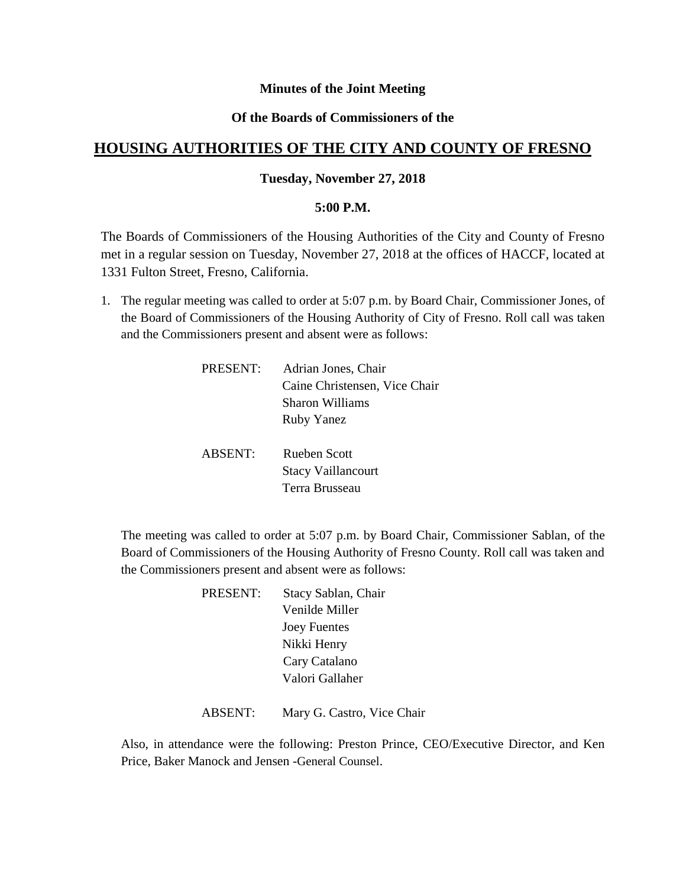## **Minutes of the Joint Meeting**

## **Of the Boards of Commissioners of the**

# **HOUSING AUTHORITIES OF THE CITY AND COUNTY OF FRESNO**

## **Tuesday, November 27, 2018**

#### **5:00 P.M.**

The Boards of Commissioners of the Housing Authorities of the City and County of Fresno met in a regular session on Tuesday, November 27, 2018 at the offices of HACCF, located at 1331 Fulton Street, Fresno, California.

1. The regular meeting was called to order at 5:07 p.m. by Board Chair, Commissioner Jones, of the Board of Commissioners of the Housing Authority of City of Fresno. Roll call was taken and the Commissioners present and absent were as follows:

| PRESENT: | Adrian Jones, Chair           |
|----------|-------------------------------|
|          | Caine Christensen, Vice Chair |
|          | Sharon Williams               |
|          | Ruby Yanez                    |
|          |                               |
| ABSENT:  | <b>Rueben Scott</b>           |
|          | <b>Stacy Vaillancourt</b>     |
|          | Terra Brusseau                |

The meeting was called to order at 5:07 p.m. by Board Chair, Commissioner Sablan, of the Board of Commissioners of the Housing Authority of Fresno County. Roll call was taken and the Commissioners present and absent were as follows:

| <b>PRESENT:</b> | Stacy Sablan, Chair |
|-----------------|---------------------|
|                 | Venilde Miller      |
|                 | <b>Joey Fuentes</b> |
|                 | Nikki Henry         |
|                 | Cary Catalano       |
|                 | Valori Gallaher     |
|                 |                     |

ABSENT: Mary G. Castro, Vice Chair

Also, in attendance were the following: Preston Prince, CEO/Executive Director, and Ken Price, Baker Manock and Jensen -General Counsel.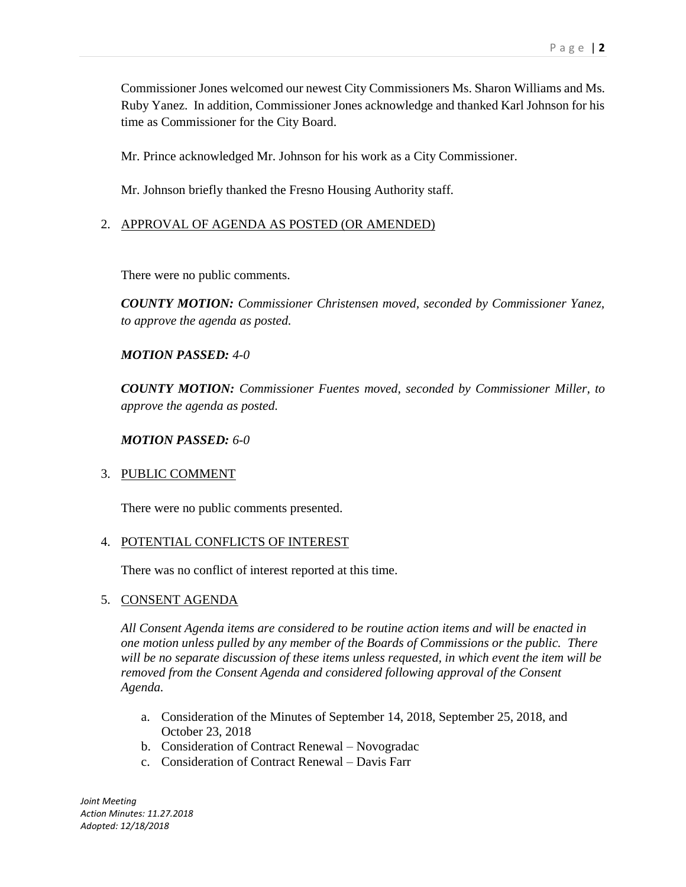Commissioner Jones welcomed our newest City Commissioners Ms. Sharon Williams and Ms. Ruby Yanez. In addition, Commissioner Jones acknowledge and thanked Karl Johnson for his time as Commissioner for the City Board.

Mr. Prince acknowledged Mr. Johnson for his work as a City Commissioner.

Mr. Johnson briefly thanked the Fresno Housing Authority staff.

## 2. APPROVAL OF AGENDA AS POSTED (OR AMENDED)

There were no public comments.

*COUNTY MOTION: Commissioner Christensen moved, seconded by Commissioner Yanez, to approve the agenda as posted.*

### *MOTION PASSED: 4-0*

*COUNTY MOTION: Commissioner Fuentes moved, seconded by Commissioner Miller, to approve the agenda as posted.*

### *MOTION PASSED: 6-0*

### 3. PUBLIC COMMENT

There were no public comments presented.

### 4. POTENTIAL CONFLICTS OF INTEREST

There was no conflict of interest reported at this time.

## 5. CONSENT AGENDA

*All Consent Agenda items are considered to be routine action items and will be enacted in one motion unless pulled by any member of the Boards of Commissions or the public. There will be no separate discussion of these items unless requested, in which event the item will be removed from the Consent Agenda and considered following approval of the Consent Agenda.*

- a. Consideration of the Minutes of September 14, 2018, September 25, 2018, and October 23, 2018
- b. Consideration of Contract Renewal Novogradac
- c. Consideration of Contract Renewal Davis Farr

*Joint Meeting Action Minutes: 11.27.2018 Adopted: 12/18/2018*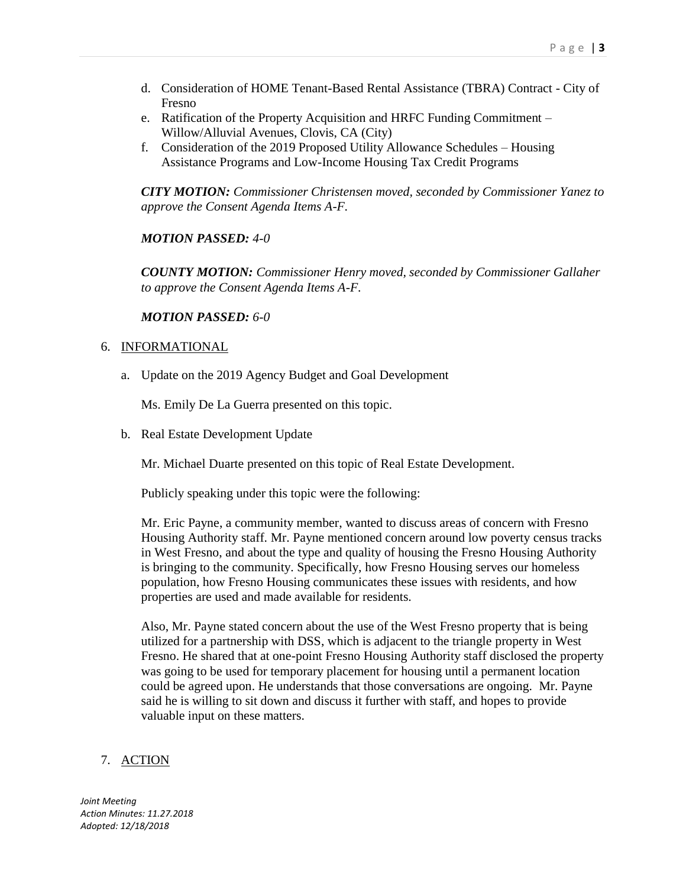- d. Consideration of HOME Tenant-Based Rental Assistance (TBRA) Contract City of Fresno
- e. Ratification of the Property Acquisition and HRFC Funding Commitment Willow/Alluvial Avenues, Clovis, CA (City)
- f. Consideration of the 2019 Proposed Utility Allowance Schedules Housing Assistance Programs and Low-Income Housing Tax Credit Programs

*CITY MOTION: Commissioner Christensen moved, seconded by Commissioner Yanez to approve the Consent Agenda Items A-F.*

### *MOTION PASSED: 4-0*

*COUNTY MOTION: Commissioner Henry moved, seconded by Commissioner Gallaher to approve the Consent Agenda Items A-F.*

### *MOTION PASSED: 6-0*

#### 6. INFORMATIONAL

a. Update on the 2019 Agency Budget and Goal Development

Ms. Emily De La Guerra presented on this topic.

b. Real Estate Development Update

Mr. Michael Duarte presented on this topic of Real Estate Development.

Publicly speaking under this topic were the following:

Mr. Eric Payne, a community member, wanted to discuss areas of concern with Fresno Housing Authority staff. Mr. Payne mentioned concern around low poverty census tracks in West Fresno, and about the type and quality of housing the Fresno Housing Authority is bringing to the community. Specifically, how Fresno Housing serves our homeless population, how Fresno Housing communicates these issues with residents, and how properties are used and made available for residents.

Also, Mr. Payne stated concern about the use of the West Fresno property that is being utilized for a partnership with DSS, which is adjacent to the triangle property in West Fresno. He shared that at one-point Fresno Housing Authority staff disclosed the property was going to be used for temporary placement for housing until a permanent location could be agreed upon. He understands that those conversations are ongoing. Mr. Payne said he is willing to sit down and discuss it further with staff, and hopes to provide valuable input on these matters.

# 7. ACTION

*Joint Meeting Action Minutes: 11.27.2018 Adopted: 12/18/2018*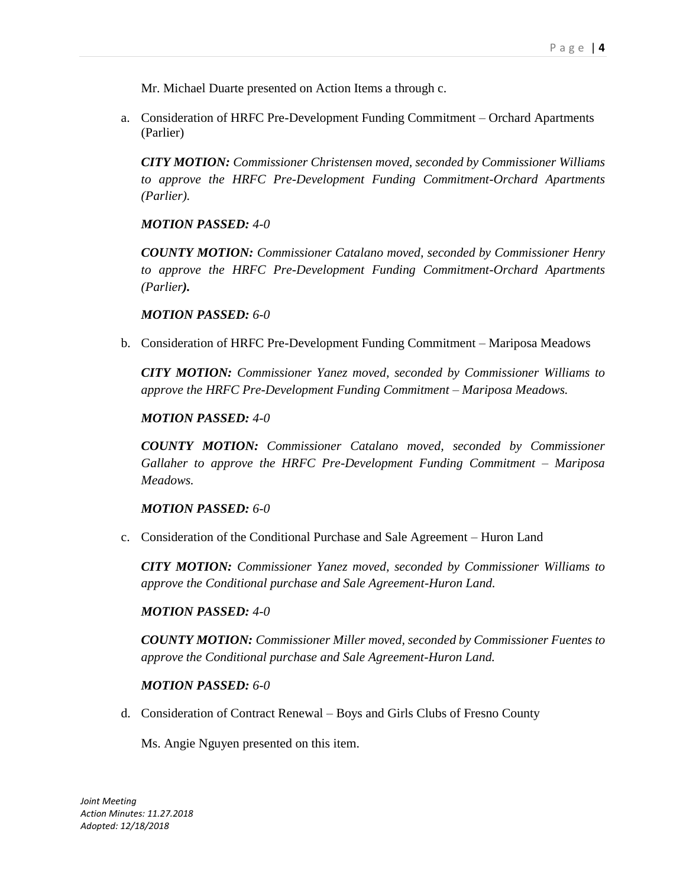Mr. Michael Duarte presented on Action Items a through c.

a. Consideration of HRFC Pre-Development Funding Commitment – Orchard Apartments (Parlier)

*CITY MOTION: Commissioner Christensen moved, seconded by Commissioner Williams to approve the HRFC Pre-Development Funding Commitment-Orchard Apartments (Parlier).*

### *MOTION PASSED: 4-0*

*COUNTY MOTION: Commissioner Catalano moved, seconded by Commissioner Henry to approve the HRFC Pre-Development Funding Commitment-Orchard Apartments (Parlier).*

#### *MOTION PASSED: 6-0*

b. Consideration of HRFC Pre-Development Funding Commitment – Mariposa Meadows

*CITY MOTION: Commissioner Yanez moved, seconded by Commissioner Williams to approve the HRFC Pre-Development Funding Commitment – Mariposa Meadows.*

#### *MOTION PASSED: 4-0*

*COUNTY MOTION: Commissioner Catalano moved, seconded by Commissioner Gallaher to approve the HRFC Pre-Development Funding Commitment – Mariposa Meadows.*

#### *MOTION PASSED: 6-0*

c. Consideration of the Conditional Purchase and Sale Agreement – Huron Land

*CITY MOTION: Commissioner Yanez moved, seconded by Commissioner Williams to approve the Conditional purchase and Sale Agreement-Huron Land.*

#### *MOTION PASSED: 4-0*

*COUNTY MOTION: Commissioner Miller moved, seconded by Commissioner Fuentes to approve the Conditional purchase and Sale Agreement-Huron Land.*

### *MOTION PASSED: 6-0*

d. Consideration of Contract Renewal – Boys and Girls Clubs of Fresno County

Ms. Angie Nguyen presented on this item.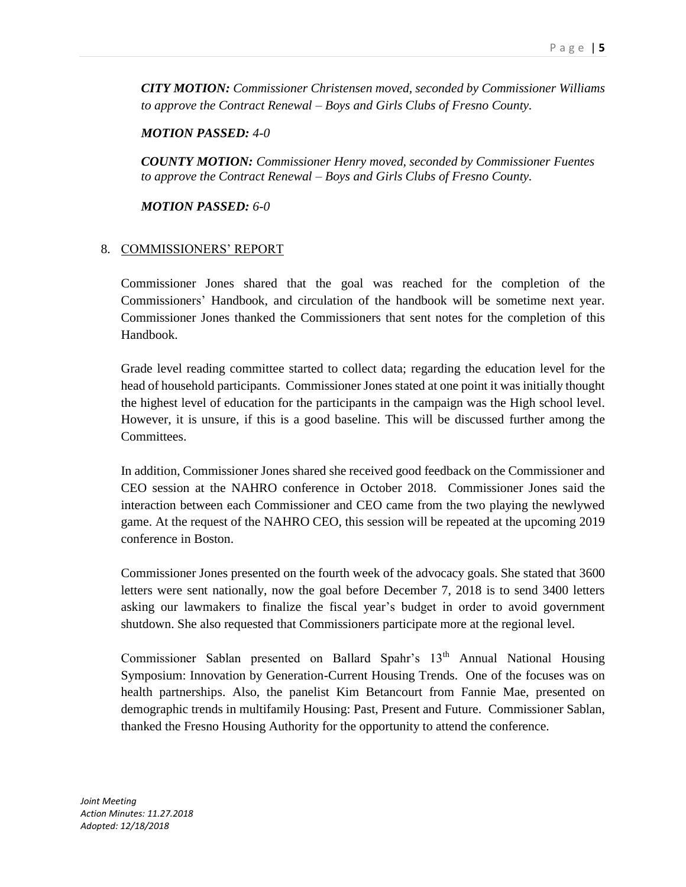*CITY MOTION: Commissioner Christensen moved, seconded by Commissioner Williams to approve the Contract Renewal – Boys and Girls Clubs of Fresno County.*

*MOTION PASSED: 4-0*

*COUNTY MOTION: Commissioner Henry moved, seconded by Commissioner Fuentes to approve the Contract Renewal – Boys and Girls Clubs of Fresno County.*

*MOTION PASSED: 6-0*

# 8. COMMISSIONERS' REPORT

Commissioner Jones shared that the goal was reached for the completion of the Commissioners' Handbook, and circulation of the handbook will be sometime next year. Commissioner Jones thanked the Commissioners that sent notes for the completion of this Handbook.

Grade level reading committee started to collect data; regarding the education level for the head of household participants. Commissioner Jones stated at one point it was initially thought the highest level of education for the participants in the campaign was the High school level. However, it is unsure, if this is a good baseline. This will be discussed further among the Committees.

In addition, Commissioner Jones shared she received good feedback on the Commissioner and CEO session at the NAHRO conference in October 2018. Commissioner Jones said the interaction between each Commissioner and CEO came from the two playing the newlywed game. At the request of the NAHRO CEO, this session will be repeated at the upcoming 2019 conference in Boston.

Commissioner Jones presented on the fourth week of the advocacy goals. She stated that 3600 letters were sent nationally, now the goal before December 7, 2018 is to send 3400 letters asking our lawmakers to finalize the fiscal year's budget in order to avoid government shutdown. She also requested that Commissioners participate more at the regional level.

Commissioner Sablan presented on Ballard Spahr's 13<sup>th</sup> Annual National Housing Symposium: Innovation by Generation-Current Housing Trends. One of the focuses was on health partnerships. Also, the panelist Kim Betancourt from Fannie Mae, presented on demographic trends in multifamily Housing: Past, Present and Future. Commissioner Sablan, thanked the Fresno Housing Authority for the opportunity to attend the conference.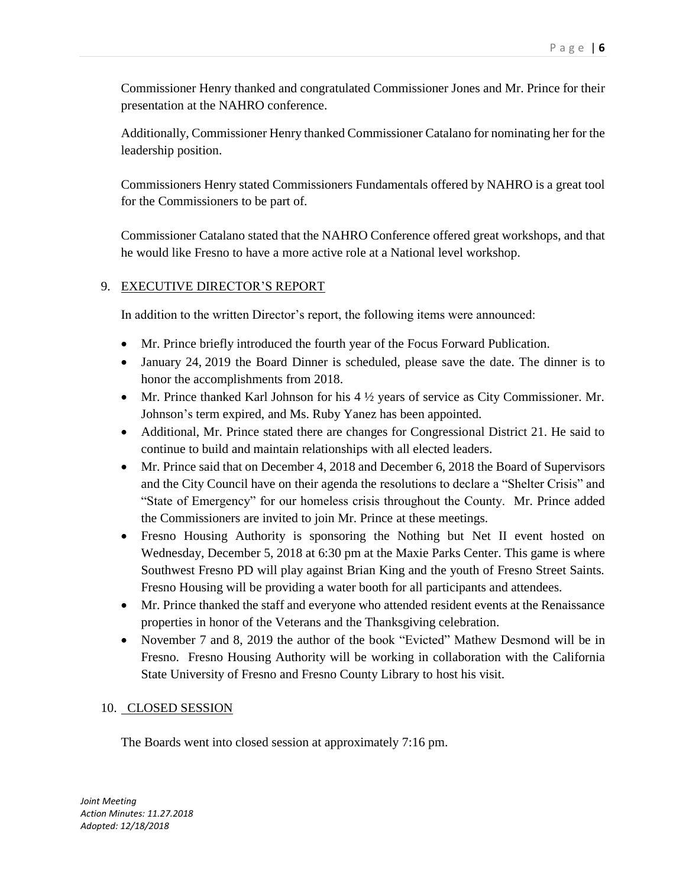Commissioner Henry thanked and congratulated Commissioner Jones and Mr. Prince for their presentation at the NAHRO conference.

Additionally, Commissioner Henry thanked Commissioner Catalano for nominating her for the leadership position.

Commissioners Henry stated Commissioners Fundamentals offered by NAHRO is a great tool for the Commissioners to be part of.

Commissioner Catalano stated that the NAHRO Conference offered great workshops, and that he would like Fresno to have a more active role at a National level workshop.

# 9. EXECUTIVE DIRECTOR'S REPORT

In addition to the written Director's report, the following items were announced:

- Mr. Prince briefly introduced the fourth year of the Focus Forward Publication.
- January 24, 2019 the Board Dinner is scheduled, please save the date. The dinner is to honor the accomplishments from 2018.
- $\bullet$  Mr. Prince thanked Karl Johnson for his 4  $\frac{1}{2}$  years of service as City Commissioner. Mr. Johnson's term expired, and Ms. Ruby Yanez has been appointed.
- Additional, Mr. Prince stated there are changes for Congressional District 21. He said to continue to build and maintain relationships with all elected leaders.
- Mr. Prince said that on December 4, 2018 and December 6, 2018 the Board of Supervisors and the City Council have on their agenda the resolutions to declare a "Shelter Crisis" and "State of Emergency" for our homeless crisis throughout the County. Mr. Prince added the Commissioners are invited to join Mr. Prince at these meetings.
- Fresno Housing Authority is sponsoring the Nothing but Net II event hosted on Wednesday, December 5, 2018 at 6:30 pm at the Maxie Parks Center. This game is where Southwest Fresno PD will play against Brian King and the youth of Fresno Street Saints. Fresno Housing will be providing a water booth for all participants and attendees.
- Mr. Prince thanked the staff and everyone who attended resident events at the Renaissance properties in honor of the Veterans and the Thanksgiving celebration.
- November 7 and 8, 2019 the author of the book "Evicted" Mathew Desmond will be in Fresno. Fresno Housing Authority will be working in collaboration with the California State University of Fresno and Fresno County Library to host his visit.

# 10. CLOSED SESSION

The Boards went into closed session at approximately 7:16 pm.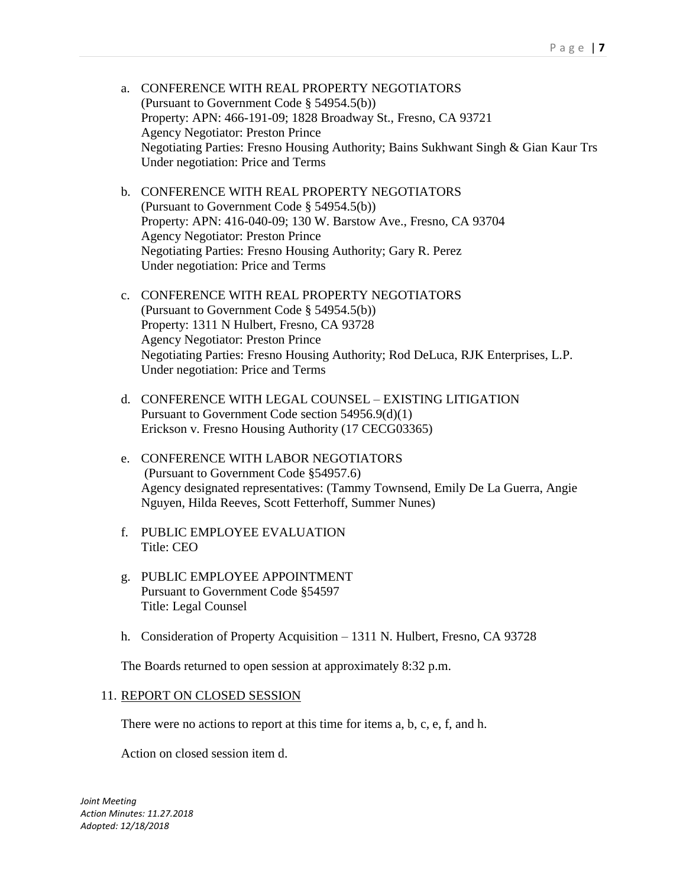- a. CONFERENCE WITH REAL PROPERTY NEGOTIATORS (Pursuant to Government Code § 54954.5(b)) Property: APN: 466-191-09; 1828 Broadway St., Fresno, CA 93721 Agency Negotiator: Preston Prince Negotiating Parties: Fresno Housing Authority; Bains Sukhwant Singh & Gian Kaur Trs Under negotiation: Price and Terms
- b. CONFERENCE WITH REAL PROPERTY NEGOTIATORS (Pursuant to Government Code § 54954.5(b)) Property: APN: 416-040-09; 130 W. Barstow Ave., Fresno, CA 93704 Agency Negotiator: Preston Prince Negotiating Parties: Fresno Housing Authority; Gary R. Perez Under negotiation: Price and Terms
- c. CONFERENCE WITH REAL PROPERTY NEGOTIATORS (Pursuant to Government Code § 54954.5(b)) Property: 1311 N Hulbert, Fresno, CA 93728 Agency Negotiator: Preston Prince Negotiating Parties: Fresno Housing Authority; Rod DeLuca, RJK Enterprises, L.P. Under negotiation: Price and Terms
- d. CONFERENCE WITH LEGAL COUNSEL EXISTING LITIGATION Pursuant to Government Code section 54956.9(d)(1) Erickson v. Fresno Housing Authority (17 CECG03365)
- e. CONFERENCE WITH LABOR NEGOTIATORS (Pursuant to Government Code §54957.6) Agency designated representatives: (Tammy Townsend, Emily De La Guerra, Angie Nguyen, Hilda Reeves, Scott Fetterhoff, Summer Nunes)
- f. PUBLIC EMPLOYEE EVALUATION Title: CEO
- Title: Legal Counsel g. PUBLIC EMPLOYEE APPOINTMENT Pursuant to Government Code §54597
- h. Consideration of Property Acquisition 1311 N. Hulbert, Fresno, CA 93728

The Boards returned to open session at approximately 8:32 p.m.

# 11. REPORT ON CLOSED SESSION

There were no actions to report at this time for items a, b, c, e, f, and h.

Action on closed session item d.